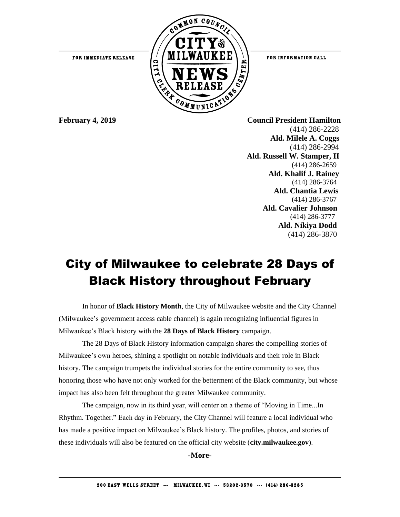

FOR INFORMATION CALL

**February 4, 2019 Council President Hamilton** (414) 286-2228  **Ald. Milele A. Coggs** (414) 286-2994 **Ald. Russell W. Stamper, II** (414) 286-2659 **Ald. Khalif J. Rainey** (414) 286-3764 **Ald. Chantia Lewis** (414) 286-3767 **Ald. Cavalier Johnson** (414) 286-3777 **Ald. Nikiya Dodd** (414) 286-3870

## City of Milwaukee to celebrate 28 Days of Black History throughout February

In honor of **Black History Month**, the City of Milwaukee website and the City Channel (Milwaukee's government access cable channel) is again recognizing influential figures in Milwaukee's Black history with the **28 Days of Black History** campaign.

The 28 Days of Black History information campaign shares the compelling stories of Milwaukee's own heroes, shining a spotlight on notable individuals and their role in Black history. The campaign trumpets the individual stories for the entire community to see, thus honoring those who have not only worked for the betterment of the Black community, but whose impact has also been felt throughout the greater Milwaukee community.

The campaign, now in its third year, will center on a theme of "Moving in Time...In Rhythm. Together." Each day in February, the City Channel will feature a local individual who has made a positive impact on Milwaukee's Black history. The profiles, photos, and stories of these individuals will also be featured on the official city website (**city.milwaukee.gov**).

**-More-**